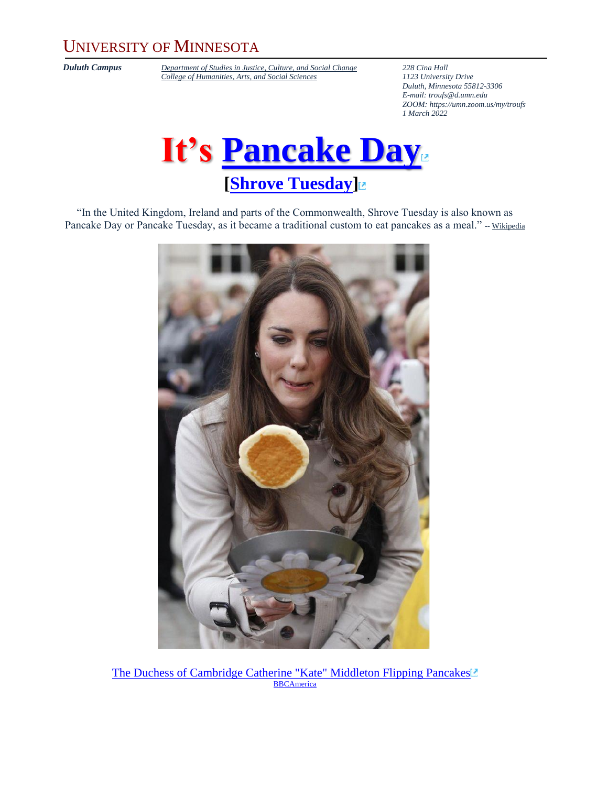### UNIVERSITY OF MINNESOTA

*Duluth Campus [Department of Studies in Justice, Culture, and Social Change](https://cahss.d.umn.edu/departments/studies-justice-culture-social-change/anthropology)* **228** *Cina Hall College of Humanities, Arts, and Social Sciences 1123 University Drive [College of Humanities, Arts, and Social Sciences](https://cahss.d.umn.edu/)* 

*Duluth, Minnesota 55812-3306 E-mail: [troufs@d.umn.edu](mailto:troufs@d.umn.edu) ZOOM[: https://umn.zoom.us/my/troufs](https://umn.zoom.us/my/troufs) 1 March 2022*



"In the United Kingdom, Ireland and parts of the Commonwealth, Shrove Tuesday is also known as Pancake Day or Pancake Tuesday, as it became a traditional custom to eat pancakes as a meal." -- [Wikipedia](http://en.wikipedia.org/wiki/Main_Page)



[The Duchess of Cambridge Catherine "Kate" Middleton Flipping Pancakes](http://www.bbcamerica.com/anglophenia/2011/03/royal-roundup-kate-flips-a-pancake-in-trip-to-northern-ireland)<sup>[≥</sup> **[BBCAmerica](http://www.bbcamerica.com/)**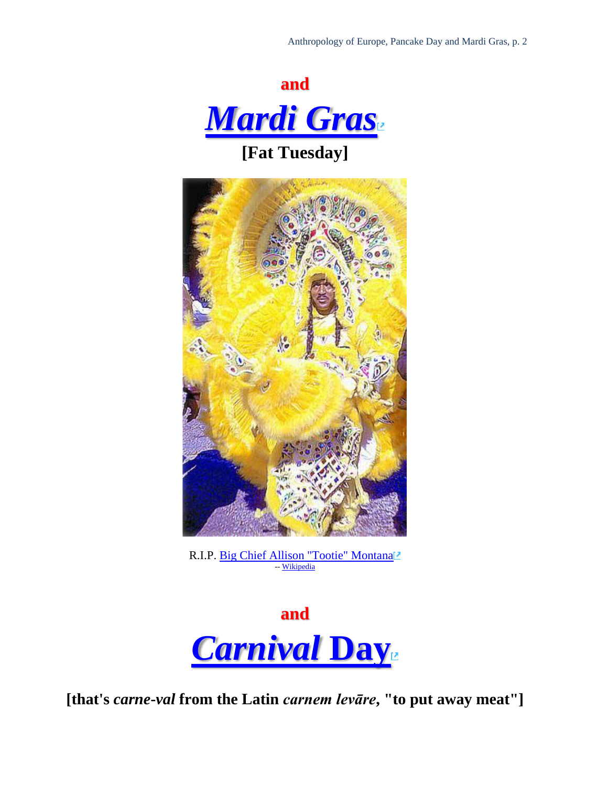

**[Fat Tuesday]**



R.I.P. [Big Chief Allison "Tootie" Montana](http://en.wikipedia.org/wiki/Allison_%E2%80%98Tootie%E2%80%99_Montana) -- [Wikipedia](http://en.wikipedia.org/wiki/Main_Page)



**[that's** *carne***-***val* **from the Latin** *carnem levāre***, "to put away meat"]**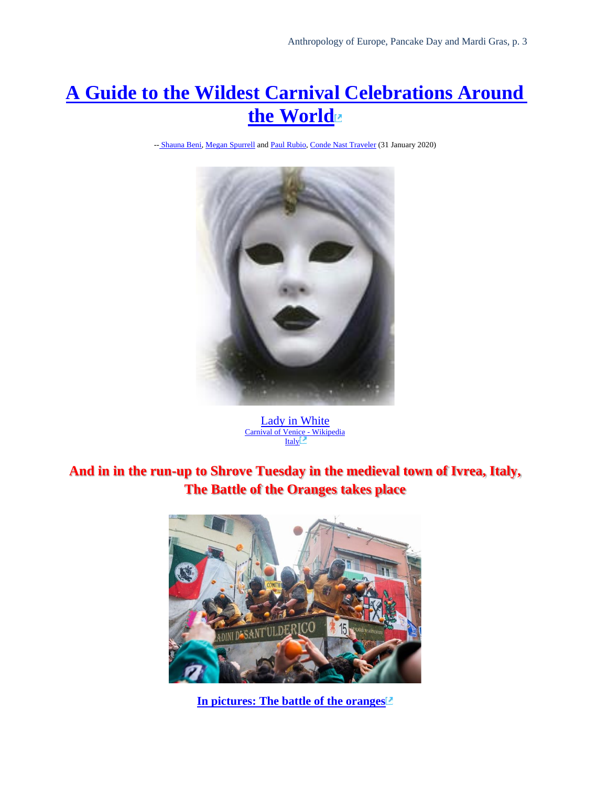## **[A Guide to the Wildest Carnival Celebrations Around](https://www.cntraveler.com/story/best-carnival-celebrations-around-the-world)  [the World](https://www.cntraveler.com/story/best-carnival-celebrations-around-the-world)**

-- [Shauna Beni,](https://www.cntraveler.com/contributor/shauna-beni) [Megan Spurrell](https://www.cntraveler.com/contributor/megan-spurrell) an[d Paul Rubio,](https://www.cntraveler.com/contributors/paul-rubio) [Conde Nast Traveler](https://www.cntraveler.com/story/best-carnival-celebrations-around-the-world) (31 January 2020)



[Lady in White](http://www.mostly-landscapes.net/Gen.php?Page=Explorer&Target=Photos/Favourites/Pam) [Carnival of Venice](https://en.wikipedia.org/wiki/Carnival_of_Venice) - [Wikipedia](http://en.wikipedia.org/wiki/Main_Page) **[Italy](http://www.d.umn.edu/cla/faculty/troufs/anth1095/Italy.html#title)** 

#### **And in in the run-up to Shrove Tuesday in the medieval town of Ivrea, Italy, The Battle of the Oranges takes place**



**[In pictures: The battle of the oranges](https://www.bbc.com/news/in-pictures-51474989)**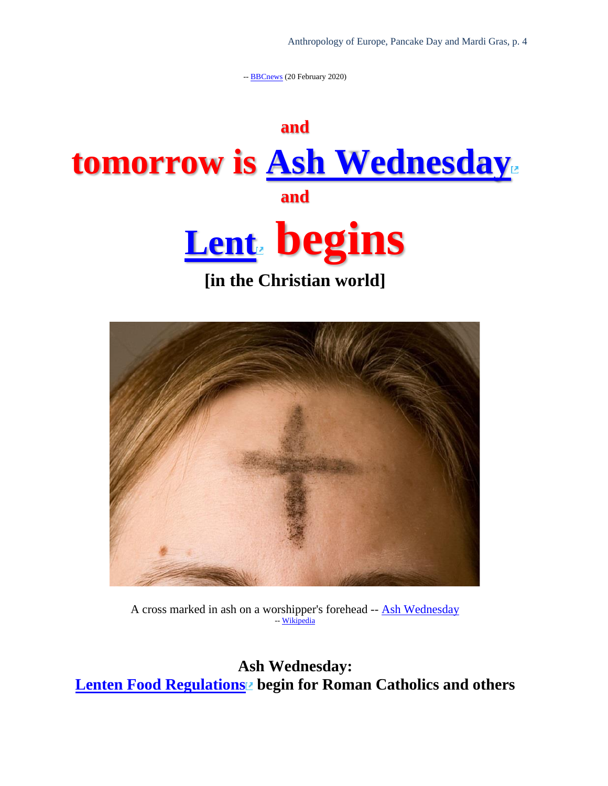-- **[BBCnews](https://www.bbc.com/news/in-pictures-51474989)** (20 February 2020)





A cross marked in ash on a worshipper's forehead -- [Ash Wednesday](https://en.wikipedia.org/wiki/Ash_Wednesday) -- [Wikipedia](http://en.wikipedia.org/wiki/Main_Page)

**Ash Wednesday: [Lenten Food Regulations](http://en.wikipedia.org/wiki/Lent#Fasting_and_abstinence) begin for Roman Catholics and others**